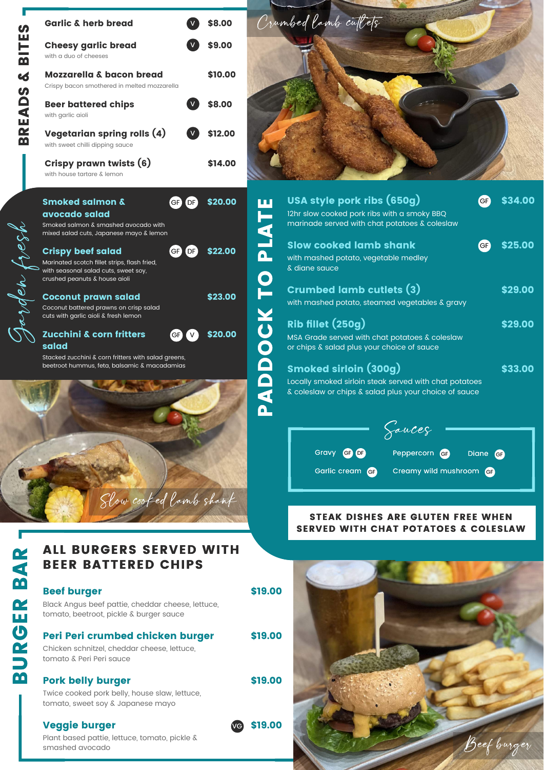beetroot hummus, feta, balsamic & macadamias

A

D

D

O

 $\mathbf C$ 

K

T

O

 $\mathbf{\Omega}_{-}$ 

Links in 1980.<br>Links in 1980 von Sterlingen in 1980 von Sterlingen in 1980 von Sterlingen in 1980 von Sterlingen in 1980 von<br>Links in 1980 von Sterlingen in 1980 von Sterlingen in 1980 von Sterlingen in 1980 von Sterlingen

A

T

E

| U)                      | <b>Garlic &amp; herb bread</b>                                        |                 | \$8.00  |  |
|-------------------------|-----------------------------------------------------------------------|-----------------|---------|--|
| ш<br>는                  | <b>Cheesy garlic bread</b>                                            |                 | \$9.00  |  |
| $\overline{\mathbf{m}}$ | with a duo of cheeses                                                 |                 |         |  |
| $\boldsymbol{6}$        | <b>Mozzarella &amp; bacon bread</b>                                   |                 | \$10.00 |  |
| $\boldsymbol{\omega}$   | Crispy bacon smothered in melted mozzarella                           |                 |         |  |
|                         | <b>Beer battered chips</b>                                            |                 | \$8.00  |  |
| EAD                     | with garlic aioli                                                     |                 |         |  |
| œ                       | <b>Vegetarian spring rolls (4)</b>                                    | $\mathsf{V}$    | \$12.00 |  |
| M                       | with sweet chilli dipping sauce                                       |                 |         |  |
|                         | <b>Crispy prawn twists (6)</b>                                        |                 | \$14.00 |  |
|                         | with house tartare & lemon                                            |                 |         |  |
|                         |                                                                       |                 |         |  |
|                         | <b>Smoked salmon &amp;</b>                                            | DF<br><b>GF</b> |         |  |
|                         | avocado salad                                                         |                 |         |  |
|                         | Smoked salmon & smashed avocado with                                  |                 |         |  |
|                         | mixed salad cuts, Japanese mayo & lemon                               |                 |         |  |
|                         | <b>Crispy beef salad</b>                                              | GF<br>DF        | \$22.00 |  |
|                         | Marinated scotch fillet strips, flash fried,                          |                 |         |  |
|                         | with seasonal salad cuts, sweet soy,<br>crushed peanuts & house aioli |                 |         |  |
|                         |                                                                       |                 |         |  |
|                         | <b>Coconut prawn salad</b>                                            |                 | \$23.00 |  |
|                         | Coconut battered prawns on crisp salad                                |                 |         |  |
|                         | cuts with garlic aioli & fresh lemon                                  |                 |         |  |
|                         | <b>Zucchini &amp; corn fritters</b>                                   | <b>GF</b>       | \$20.00 |  |
|                         | salad                                                                 |                 |         |  |
|                         | Stacked zucchini & corn fritters with salad greens,                   |                 |         |  |



## STEAK DISHES ARE GLUTEN FREE WHEN SERVED WITH CHAT POTATOES & COLESLAW

| USA style pork ribs (650g)<br>12hr slow cooked pork ribs with a smoky BBQ<br>marinade served with chat potatoes & coleslaw                      | GF) | \$34.00 |
|-------------------------------------------------------------------------------------------------------------------------------------------------|-----|---------|
| <b>Slow cooked lamb shank</b><br>with mashed potato, vegetable medley<br>& diane sauce                                                          | GF) | \$25.00 |
| <b>Crumbed lamb cutlets (3)</b><br>with mashed potato, steamed vegetables & gravy                                                               |     | \$29.00 |
| <b>Rib fillet (250g)</b><br>MSA Grade served with chat potatoes & coleslaw<br>or chips & salad plus your choice of sauce                        |     | \$29.00 |
| <b>Smoked sirloin (300g)</b><br>Locally smoked sirloin steak served with chat potatoes<br>& coleslaw or chips & salad plus your choice of sauce |     | \$33.00 |

## Beef burger

 tomato, beetroot, pickle & burger sauce Black Angus beef pattie, cheddar cheese, lettuce,

# Peri Peri crumbed chicken burger

 tomato & Peri Peri sauce Chicken schnitzel, cheddar cheese, lettuce,

# Pork belly burger



# BEER BATTERED CHIPS ALL BURGERS SERVED WITH

Twice cooked pork belly, house slaw, lettuce, tomato, sweet soy & Japanese mayo



\$19.00

## Veggie burger

Plant based pattie, lettuce, tomato, pickle & smashed avocado



Crumbed lamb cutlets